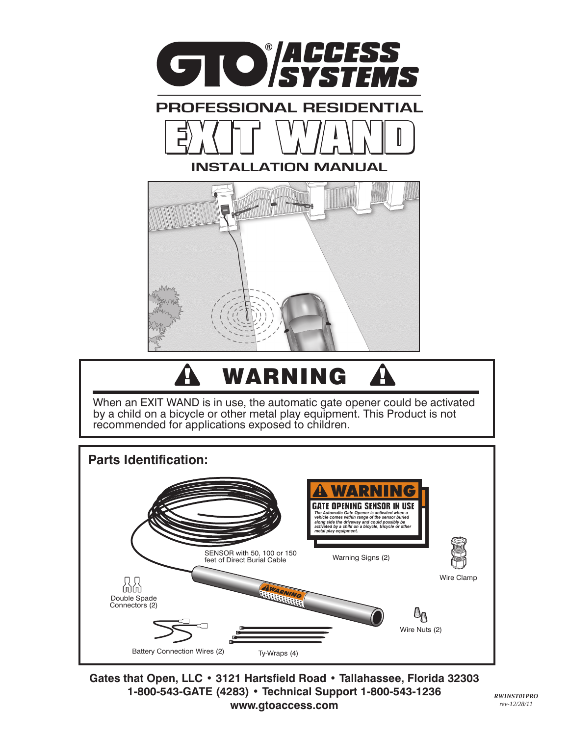

**Gates that Open, LLC • 3121 Hartsfield Road • Tallahassee, Florida 32303 1-800-543-GATE (4283) • Technical Support 1-800-543-1236 www.gtoaccess.com**

Ty-Wraps (4)

Battery Connection Wires (2)

Double Spade Connectors (2)

Wire Nuts (2)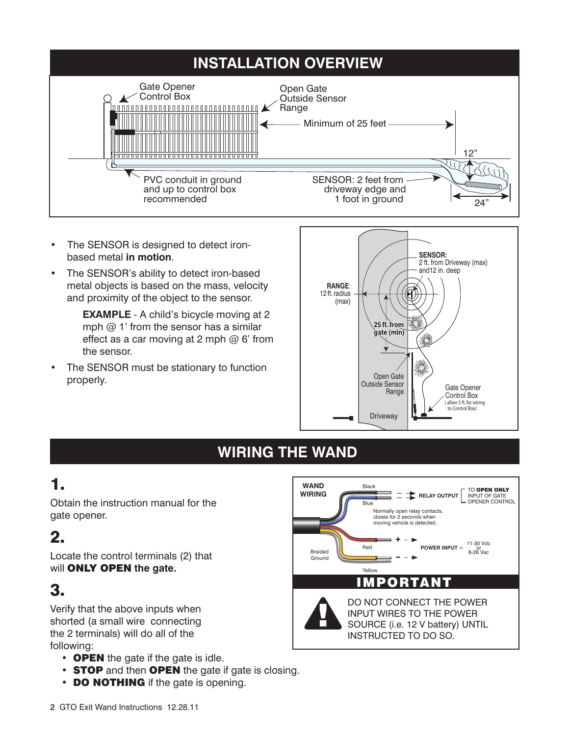

- The SENSOR is designed to detect ironbased metal **in motion**.
- The SENSOR's ability to detect iron-based metal objects is based on the mass, velocity and proximity of the object to the sensor.

**EXAMPLE** - A child's bicycle moving at 2 mph @ 1' from the sensor has a similar effect as a car moving at 2 mph  $@$  6' from the sensor.

The SENSOR must be stationary to function



### **WIRING THE WAND**

# 1.

Obtain the instruction manual for the gate opener.

# 2.

Locate the control terminals (2) that will ONLY OPEN **the gate.**

### 3.

Verify that the above inputs when shorted (a small wire connecting the 2 terminals) will do all of the following:

- **OPEN** the gate if the gate is idle.
- STOP and then OPEN the gate if gate is closing.
- DO NOTHING if the gate is opening.

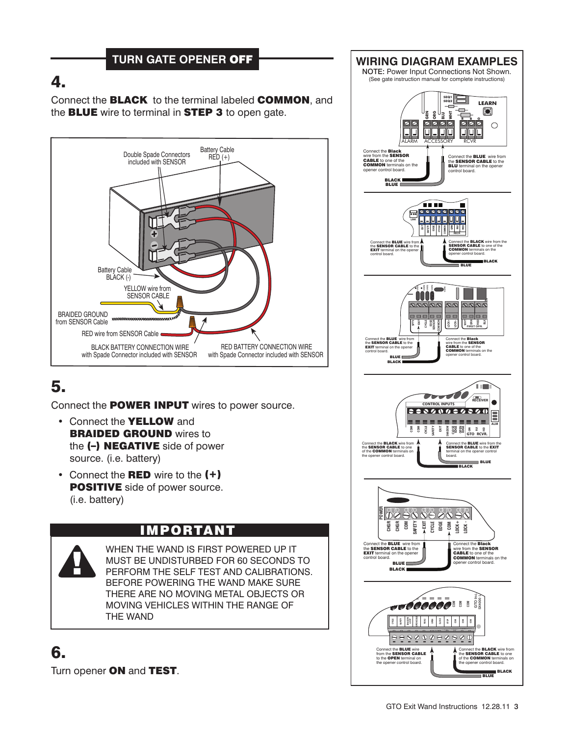